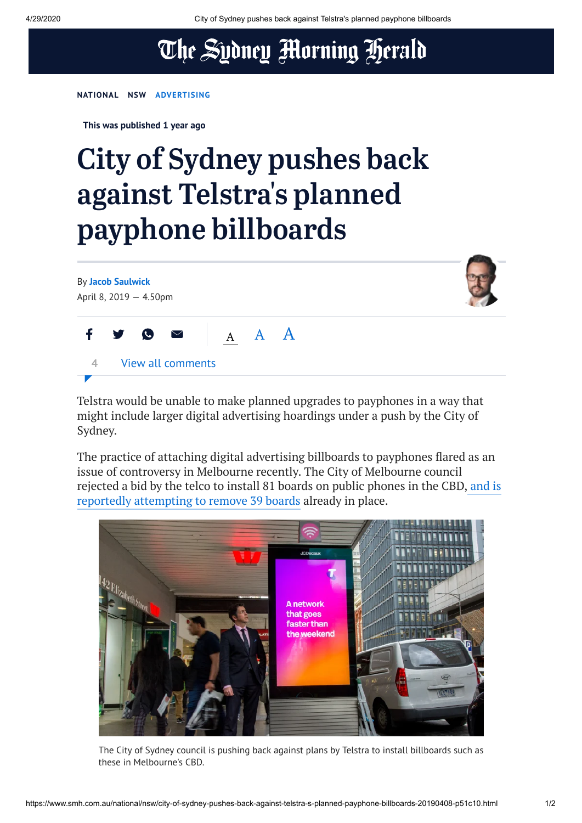## The Sydney Morning Herald

**[NATIONAL](https://www.smh.com.au/national) [NSW](https://www.smh.com.au/national/nsw) [ADVERTISING](https://www.smh.com.au/topic/advertising-5u3)**

**This was published 1 year ago**

## City of Sydney pushes back against Telstra ' s planned payphone billboards



Telstra would be unable to make planned upgrades to payphones in a way that might include larger digital advertising hoardings under a push by the City of Sydney.

The practice of attaching digital advertising billboards to payphones flared as an issue of controversy in Melbourne recently. The City of Melbourne council rejected a bid by the telco to install 81 boards on public phones in the CBD, and is reportedly [attempting to](https://www.theage.com.au/national/victoria/council-sues-telstra-over-flashing-ad-boards-tacked-to-public-phones-20190325-p517cp.html) remove 39 boards already in place.



The City of Sydney council is pushing back against plans by Telstra to install billboards such as these in Melbourne's CBD.